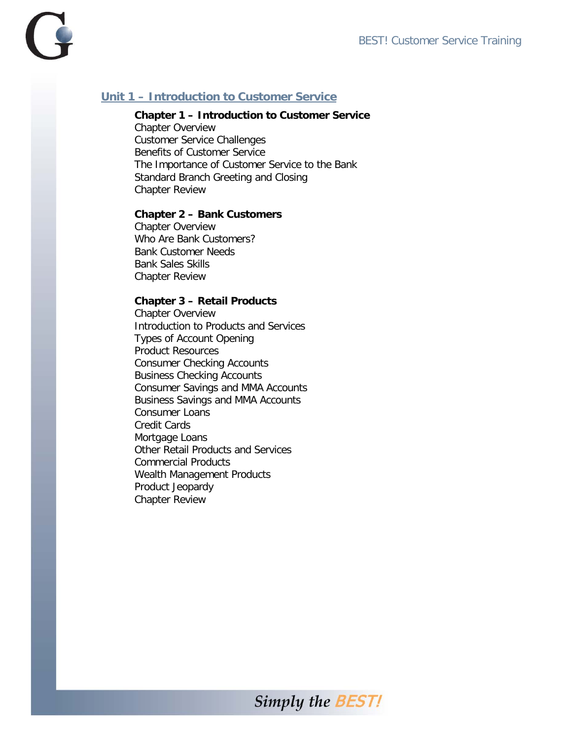

# **Unit 1 – Introduction to Customer Service**

### **Chapter 1 – Introduction to Customer Service**

Chapter Overview Customer Service Challenges Benefits of Customer Service The Importance of Customer Service to the Bank Standard Branch Greeting and Closing Chapter Review

#### **Chapter 2 – Bank Customers**

Chapter Overview Who Are Bank Customers? Bank Customer Needs Bank Sales Skills Chapter Review

#### **Chapter 3 – Retail Products**

Chapter Overview Introduction to Products and Services Types of Account Opening Product Resources Consumer Checking Accounts Business Checking Accounts Consumer Savings and MMA Accounts Business Savings and MMA Accounts Consumer Loans Credit Cards Mortgage Loans Other Retail Products and Services Commercial Products Wealth Management Products Product Jeopardy Chapter Review

**Simply the BEST!**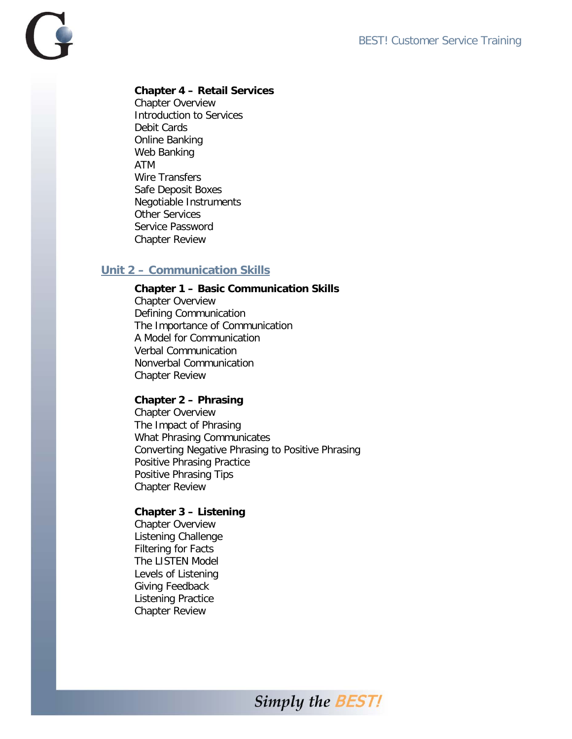

## **Chapter 4 – Retail Services**

Chapter Overview Introduction to Services Debit Cards Online Banking Web Banking ATM Wire Transfers Safe Deposit Boxes Negotiable Instruments Other Services Service Password Chapter Review

## **Unit 2 – Communication Skills**

#### **Chapter 1 – Basic Communication Skills**

Chapter Overview Defining Communication The Importance of Communication A Model for Communication Verbal Communication Nonverbal Communication Chapter Review

#### **Chapter 2 – Phrasing**

Chapter Overview The Impact of Phrasing What Phrasing Communicates Converting Negative Phrasing to Positive Phrasing Positive Phrasing Practice Positive Phrasing Tips Chapter Review

### **Chapter 3 – Listening**

Chapter Overview Listening Challenge Filtering for Facts The LISTEN Model Levels of Listening Giving Feedback Listening Practice Chapter Review